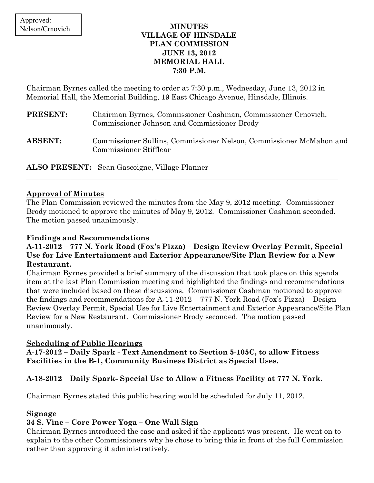### MINUTES VILLAGE OF HINSDALE PLAN COMMISSION JUNE 13, 2012 MEMORIAL HALL 7:30 P.M.

Chairman Byrnes called the meeting to order at 7:30 p.m., Wednesday, June 13, 2012 in Memorial Hall, the Memorial Building, 19 East Chicago Avenue, Hinsdale, Illinois.

| PRESENT:       | Chairman Byrnes, Commissioner Cashman, Commissioner Crnovich,<br>Commissioner Johnson and Commissioner Brody |
|----------------|--------------------------------------------------------------------------------------------------------------|
| <b>ABSENT:</b> | Commissioner Sullins, Commissioner Nelson, Commissioner McMahon and<br><b>Commissioner Stifflear</b>         |

ALSO PRESENT: Sean Gascoigne, Village Planner

### Approval of Minutes

The Plan Commission reviewed the minutes from the May 9, 2012 meeting. Commissioner Brody motioned to approve the minutes of May 9, 2012. Commissioner Cashman seconded. The motion passed unanimously.

\_\_\_\_\_\_\_\_\_\_\_\_\_\_\_\_\_\_\_\_\_\_\_\_\_\_\_\_\_\_\_\_\_\_\_\_\_\_\_\_\_\_\_\_\_\_\_\_\_\_\_\_\_\_\_\_\_\_\_\_\_\_\_\_\_\_\_\_\_\_\_\_\_\_\_\_\_\_\_\_\_\_\_\_\_

## Findings and Recommendations

### A-11-2012 – 777 N. York Road (Fox's Pizza) – Design Review Overlay Permit, Special Use for Live Entertainment and Exterior Appearance/Site Plan Review for a New Restaurant.

Chairman Byrnes provided a brief summary of the discussion that took place on this agenda item at the last Plan Commission meeting and highlighted the findings and recommendations that were included based on these discussions. Commissioner Cashman motioned to approve the findings and recommendations for A-11-2012 – 777 N. York Road (Fox's Pizza) – Design Review Overlay Permit, Special Use for Live Entertainment and Exterior Appearance/Site Plan Review for a New Restaurant. Commissioner Brody seconded. The motion passed unanimously.

# Scheduling of Public Hearings

A-17-2012 – Daily Spark - Text Amendment to Section 5-105C, to allow Fitness Facilities in the B-1, Community Business District as Special Uses.

# A-18-2012 – Daily Spark- Special Use to Allow a Fitness Facility at 777 N. York.

Chairman Byrnes stated this public hearing would be scheduled for July 11, 2012.

### Signage

# 34 S. Vine – Core Power Yoga – One Wall Sign

Chairman Byrnes introduced the case and asked if the applicant was present. He went on to explain to the other Commissioners why he chose to bring this in front of the full Commission rather than approving it administratively.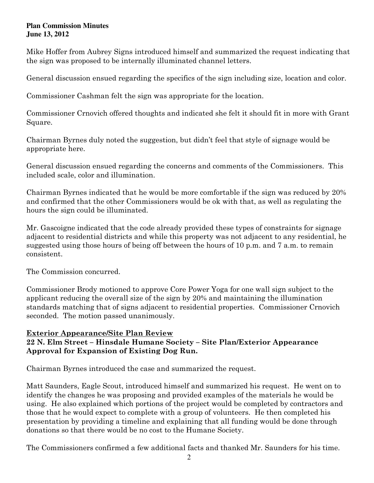#### **Plan Commission Minutes June 13, 2012**

Mike Hoffer from Aubrey Signs introduced himself and summarized the request indicating that the sign was proposed to be internally illuminated channel letters.

General discussion ensued regarding the specifics of the sign including size, location and color.

Commissioner Cashman felt the sign was appropriate for the location.

Commissioner Crnovich offered thoughts and indicated she felt it should fit in more with Grant Square.

Chairman Byrnes duly noted the suggestion, but didn't feel that style of signage would be appropriate here.

General discussion ensued regarding the concerns and comments of the Commissioners. This included scale, color and illumination.

Chairman Byrnes indicated that he would be more comfortable if the sign was reduced by 20% and confirmed that the other Commissioners would be ok with that, as well as regulating the hours the sign could be illuminated.

Mr. Gascoigne indicated that the code already provided these types of constraints for signage adjacent to residential districts and while this property was not adjacent to any residential, he suggested using those hours of being off between the hours of 10 p.m. and 7 a.m. to remain consistent.

The Commission concurred.

Commissioner Brody motioned to approve Core Power Yoga for one wall sign subject to the applicant reducing the overall size of the sign by 20% and maintaining the illumination standards matching that of signs adjacent to residential properties. Commissioner Crnovich seconded. The motion passed unanimously.

### Exterior Appearance/Site Plan Review 22 N. Elm Street – Hinsdale Humane Society – Site Plan/Exterior Appearance Approval for Expansion of Existing Dog Run.

Chairman Byrnes introduced the case and summarized the request.

Matt Saunders, Eagle Scout, introduced himself and summarized his request. He went on to identify the changes he was proposing and provided examples of the materials he would be using. He also explained which portions of the project would be completed by contractors and those that he would expect to complete with a group of volunteers. He then completed his presentation by providing a timeline and explaining that all funding would be done through donations so that there would be no cost to the Humane Society.

The Commissioners confirmed a few additional facts and thanked Mr. Saunders for his time.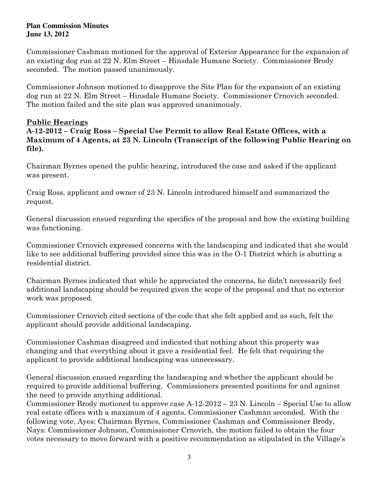#### **Plan Commission Minutes June 13, 2012**

Commissioner Cashman motioned for the approval of Exterior Appearance for the expansion of an existing dog run at 22 N. Elm Street – Hinsdale Humane Society. Commissioner Brody seconded. The motion passed unanimously.

Commissioner Johnson motioned to disapprove the Site Plan for the expansion of an existing dog run at 22 N. Elm Street – Hinsdale Humane Society. Commissioner Crnovich seconded. The motion failed and the site plan was approved unanimously.

## Public Hearings

A-12-2012 – Craig Ross – Special Use Permit to allow Real Estate Offices, with a Maximum of 4 Agents, at 23 N. Lincoln (Transcript of the following Public Hearing on file).

Chairman Byrnes opened the public hearing, introduced the case and asked if the applicant was present.

Craig Ross, applicant and owner of 23 N. Lincoln introduced himself and summarized the request.

General discussion ensued regarding the specifics of the proposal and how the existing building was functioning.

Commissioner Crnovich expressed concerns with the landscaping and indicated that she would like to see additional buffering provided since this was in the O-1 District which is abutting a residential district.

Chairman Byrnes indicated that while he appreciated the concerns, he didn't necessarily feel additional landscaping should be required given the scope of the proposal and that no exterior work was proposed.

Commissioner Crnovich cited sections of the code that she felt applied and as such, felt the applicant should provide additional landscaping.

Commissioner Cashman disagreed and indicated that nothing about this property was changing and that everything about it gave a residential feel. He felt that requiring the applicant to provide additional landscaping was unnecessary.

General discussion ensued regarding the landscaping and whether the applicant should be required to provide additional buffering. Commissioners presented positions for and against the need to provide anything additional.

Commissioner Brody motioned to approve case A-12-2012 – 23 N. Lincoln – Special Use to allow real estate offices with a maximum of 4 agents. Commissioner Cashman seconded. With the following vote, Ayes: Chairman Byrnes, Commissioner Cashman and Commissioner Brody, Nays: Commissioner Johnson, Commissioner Crnovich, the motion failed to obtain the four votes necessary to move forward with a positive recommendation as stipulated in the Village's